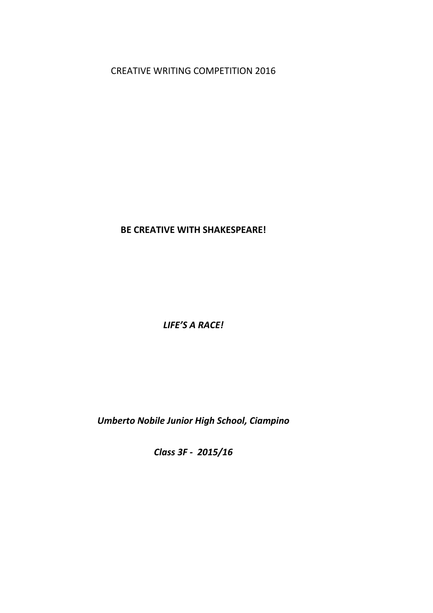CREATIVE WRITING COMPETITION 2016

**BE CREATIVE WITH SHAKESPEARE!** 

*LIFE'S A RACE!* 

*Umberto Nobile Junior High School, Ciampino* 

*Class 3F - 2015/16*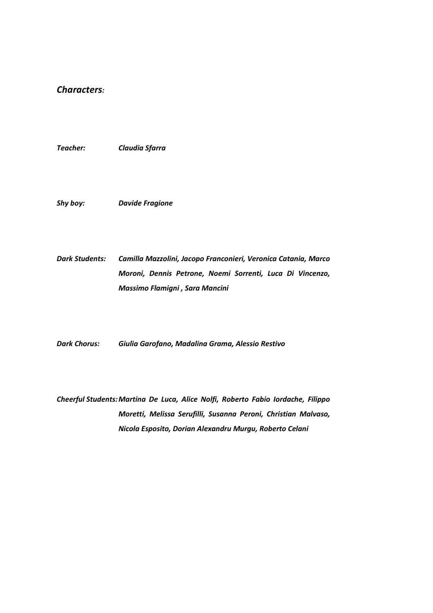## *Characters:*

*Teacher: Claudia Sfarra* 

*Shy boy: Davide Fragione* 

*Dark Students: Camilla Mazzolini, Jacopo Franconieri, Veronica Catania, Marco Moroni, Dennis Petrone, Noemi Sorrenti, Luca Di Vincenzo, Massimo Flamigni , Sara Mancini* 

*Dark Chorus: Giulia Garofano, Madalina Grama, Alessio Restivo* 

*Cheerful Students: Martina De Luca, Alice Nolfi, Roberto Fabio Iordache, Filippo Moretti, Melissa Serufilli, Susanna Peroni, Christian Malvaso, Nicola Esposito, Dorian Alexandru Murgu, Roberto Celani*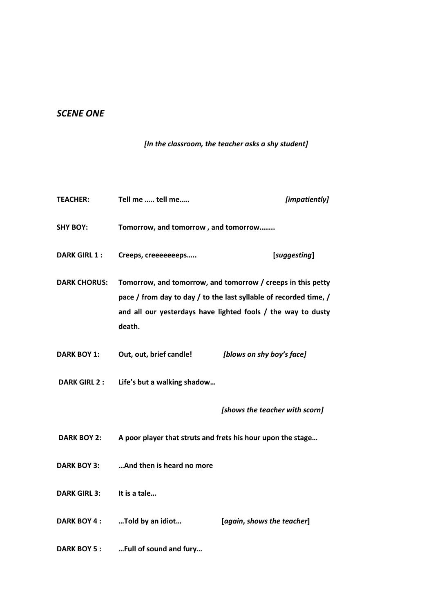## *SCENE ONE*

## *[In the classroom, the teacher asks a shy student]*

| <b>TEACHER:</b>     | Tell me  tell me                                                                                                                                                                                           | [impatiently]                                               |
|---------------------|------------------------------------------------------------------------------------------------------------------------------------------------------------------------------------------------------------|-------------------------------------------------------------|
| <b>SHY BOY:</b>     | Tomorrow, and tomorrow, and tomorrow                                                                                                                                                                       |                                                             |
| <b>DARK GIRL 1:</b> | Creeps, creeeeeeeps                                                                                                                                                                                        | [suggesting]                                                |
| <b>DARK CHORUS:</b> | Tomorrow, and tomorrow, and tomorrow / creeps in this petty<br>pace / from day to day / to the last syllable of recorded time, /<br>and all our yesterdays have lighted fools / the way to dusty<br>death. |                                                             |
| <b>DARK BOY 1:</b>  | Out, out, brief candle!                                                                                                                                                                                    | [blows on shy boy's face]                                   |
| <b>DARK GIRL 2:</b> | Life's but a walking shadow                                                                                                                                                                                |                                                             |
|                     |                                                                                                                                                                                                            | [shows the teacher with scorn]                              |
| <b>DARK BOY 2:</b>  |                                                                                                                                                                                                            | A poor player that struts and frets his hour upon the stage |
| <b>DARK BOY 3:</b>  | And then is heard no more                                                                                                                                                                                  |                                                             |
| <b>DARK GIRL 3:</b> | It is a tale                                                                                                                                                                                               |                                                             |
| <b>DARK BOY 4:</b>  | Told by an idiot                                                                                                                                                                                           | [again, shows the teacher]                                  |
| <b>DARK BOY 5:</b>  | Full of sound and fury                                                                                                                                                                                     |                                                             |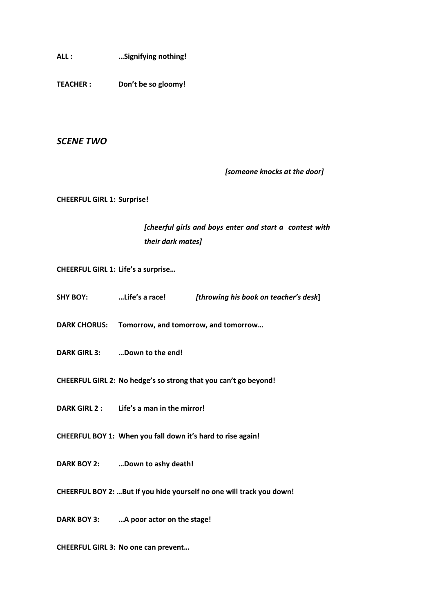**ALL : …Signifying nothing!** 

**TEACHER : Don't be so gloomy!** 

*SCENE TWO* 

 *[someone knocks at the door]* 

**CHEERFUL GIRL 1: Surprise!** 

## *[cheerful girls and boys enter and start a contest with their dark mates]*

**CHEERFUL GIRL 1: Life's a surprise…** 

**SHY BOY: …Life's a race!** *[throwing his book on teacher's desk***]** 

**DARK CHORUS: Tomorrow, and tomorrow, and tomorrow…**

**DARK GIRL 3: …Down to the end!** 

**CHEERFUL GIRL 2: No hedge's so strong that you can't go beyond!** 

**DARK GIRL 2 : Life's a man in the mirror!** 

**CHEERFUL BOY 1: When you fall down it's hard to rise again!** 

**DARK BOY 2: …Down to ashy death!** 

**CHEERFUL BOY 2: …But if you hide yourself no one will track you down!** 

**DARK BOY 3: …A poor actor on the stage!** 

**CHEERFUL GIRL 3: No one can prevent…**